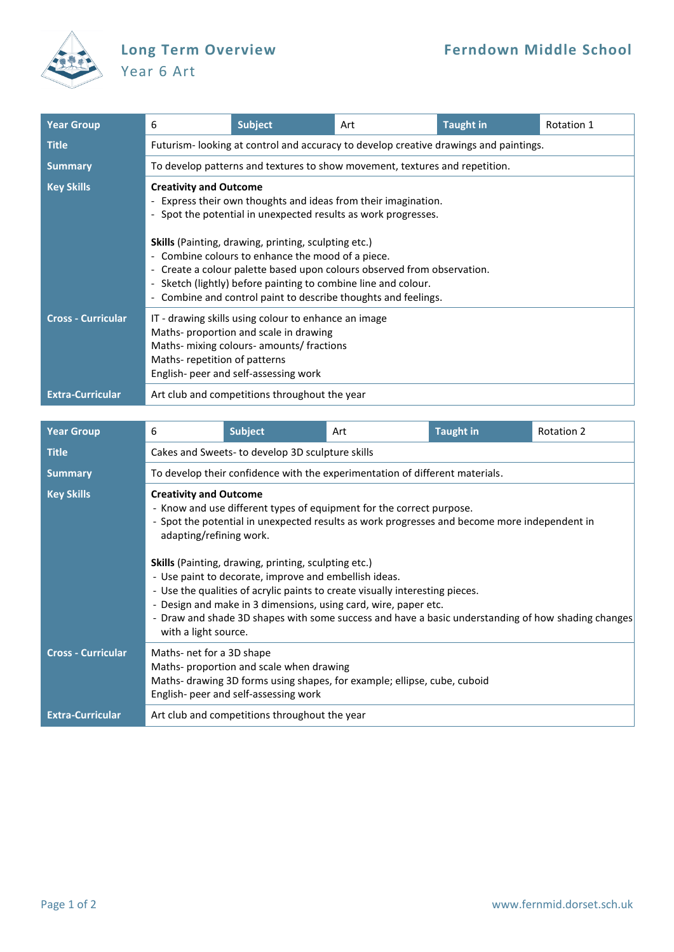

## Year 6 Art

| <b>Year Group</b>         | 6                                                                                                                                                                                                                                                                                                                                                                                                                                                                                             | <b>Subject</b> | Art | <b>Taught in</b> | Rotation 1 |  |  |
|---------------------------|-----------------------------------------------------------------------------------------------------------------------------------------------------------------------------------------------------------------------------------------------------------------------------------------------------------------------------------------------------------------------------------------------------------------------------------------------------------------------------------------------|----------------|-----|------------------|------------|--|--|
| <b>Title</b>              | Futurism-looking at control and accuracy to develop creative drawings and paintings.                                                                                                                                                                                                                                                                                                                                                                                                          |                |     |                  |            |  |  |
| <b>Summary</b>            | To develop patterns and textures to show movement, textures and repetition.                                                                                                                                                                                                                                                                                                                                                                                                                   |                |     |                  |            |  |  |
| <b>Key Skills</b>         | <b>Creativity and Outcome</b><br>- Express their own thoughts and ideas from their imagination.<br>- Spot the potential in unexpected results as work progresses.<br>Skills (Painting, drawing, printing, sculpting etc.)<br>- Combine colours to enhance the mood of a piece.<br>- Create a colour palette based upon colours observed from observation.<br>- Sketch (lightly) before painting to combine line and colour.<br>- Combine and control paint to describe thoughts and feelings. |                |     |                  |            |  |  |
| <b>Cross - Curricular</b> | IT - drawing skills using colour to enhance an image<br>Maths-proportion and scale in drawing<br>Maths- mixing colours- amounts/ fractions<br>Maths-repetition of patterns<br>English- peer and self-assessing work                                                                                                                                                                                                                                                                           |                |     |                  |            |  |  |
| <b>Extra-Curricular</b>   | Art club and competitions throughout the year                                                                                                                                                                                                                                                                                                                                                                                                                                                 |                |     |                  |            |  |  |

| <b>Year Group</b>         | 6                                                                                                                                                                                                                                                                                                                                                                                                                                                                                                                                                                                                                                         | <b>Subject</b>                                                                    | Art                                                                      | <b>Taught in</b> | <b>Rotation 2</b> |  |  |
|---------------------------|-------------------------------------------------------------------------------------------------------------------------------------------------------------------------------------------------------------------------------------------------------------------------------------------------------------------------------------------------------------------------------------------------------------------------------------------------------------------------------------------------------------------------------------------------------------------------------------------------------------------------------------------|-----------------------------------------------------------------------------------|--------------------------------------------------------------------------|------------------|-------------------|--|--|
| <b>Title</b>              | Cakes and Sweets- to develop 3D sculpture skills                                                                                                                                                                                                                                                                                                                                                                                                                                                                                                                                                                                          |                                                                                   |                                                                          |                  |                   |  |  |
| <b>Summary</b>            | To develop their confidence with the experimentation of different materials.                                                                                                                                                                                                                                                                                                                                                                                                                                                                                                                                                              |                                                                                   |                                                                          |                  |                   |  |  |
| <b>Key Skills</b>         | <b>Creativity and Outcome</b><br>- Know and use different types of equipment for the correct purpose.<br>- Spot the potential in unexpected results as work progresses and become more independent in<br>adapting/refining work.<br><b>Skills</b> (Painting, drawing, printing, sculpting etc.)<br>- Use paint to decorate, improve and embellish ideas.<br>- Use the qualities of acrylic paints to create visually interesting pieces.<br>- Design and make in 3 dimensions, using card, wire, paper etc.<br>- Draw and shade 3D shapes with some success and have a basic understanding of how shading changes<br>with a light source. |                                                                                   |                                                                          |                  |                   |  |  |
| <b>Cross - Curricular</b> | Maths- net for a 3D shape                                                                                                                                                                                                                                                                                                                                                                                                                                                                                                                                                                                                                 | Maths- proportion and scale when drawing<br>English- peer and self-assessing work | Maths- drawing 3D forms using shapes, for example; ellipse, cube, cuboid |                  |                   |  |  |
| <b>Extra-Curricular</b>   |                                                                                                                                                                                                                                                                                                                                                                                                                                                                                                                                                                                                                                           | Art club and competitions throughout the year                                     |                                                                          |                  |                   |  |  |